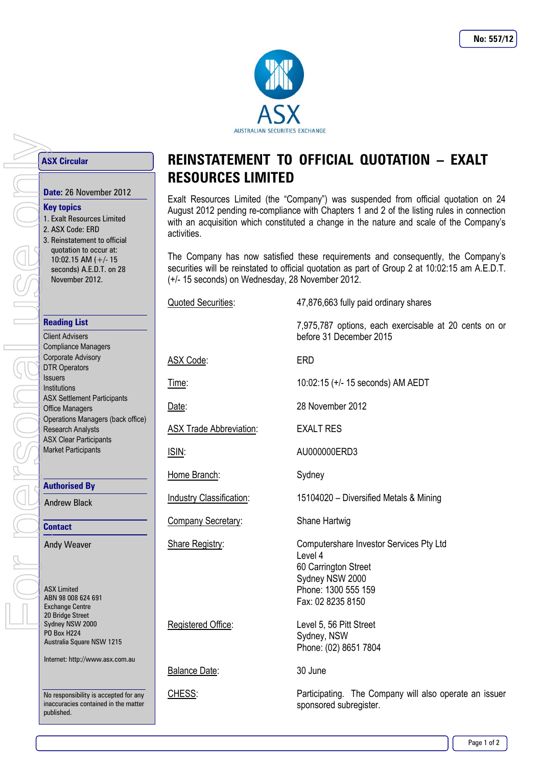

## **ASX Circular**

#### **Key topics**

1. Exalt Resources Limited 2. ASX Code: ERD 3. Reinstatement to official quotation to occur at: 10:02.15 AM (+/- 15 seconds) A.E.D.T. on 28 November 2012.

## **Reading List**

Client Advisers Compliance Managers Corporate Advisory DTR Operators Issuers Institutions ASX Settlement Participants Office Managers Operations Managers (back office) Research Analysts ASX Clear Participants Market Participants **Date:** 26 November 2012<br> **Date:** 26 November 2012<br> **Rey topics**<br>
1. Exalt Resources Limited<br>
2. ASX Code: ERD<br>
3. Reinstatement to official<br>
quotation to occur at:<br>
10:02.15 AM (+/- 15<br>
seconds) A.E.D.T. on 28<br>
November 2

#### **Authorised By**

Andrew Black

**Contact**

Andy Weaver

ASX Limited ABN 98 008 624 691 Exchange Centre 20 Bridge Street Sydney NSW 2000 PO Box H224 Australia Square NSW 1215

Internet: http://www.asx.com.au

No responsibility is accepted for any inaccuracies contained in the matter published.

# **REINSTATEMENT TO OFFICIAL QUOTATION – EXALT RESOURCES LIMITED**

Exalt Resources Limited (the "Company") was suspended from official quotation on 24 August 2012 pending re-compliance with Chapters 1 and 2 of the listing rules in connection with an acquisition which constituted a change in the nature and scale of the Company's activities.

The Company has now satisfied these requirements and consequently, the Company's securities will be reinstated to official quotation as part of Group 2 at 10:02:15 am A.E.D.T. (+/- 15 seconds) on Wednesday, 28 November 2012.

| <b>Quoted Securities:</b>      | 47,876,663 fully paid ordinary shares                                                                                                     |
|--------------------------------|-------------------------------------------------------------------------------------------------------------------------------------------|
|                                | 7,975,787 options, each exercisable at 20 cents on or<br>before 31 December 2015                                                          |
| ASX Code:                      | <b>ERD</b>                                                                                                                                |
| Time:                          | 10:02:15 (+/- 15 seconds) AM AEDT                                                                                                         |
| Date:                          | 28 November 2012                                                                                                                          |
| <b>ASX Trade Abbreviation:</b> | <b>EXALT RES</b>                                                                                                                          |
| <u>ISIN:</u>                   | AU000000ERD3                                                                                                                              |
| Home Branch:                   | Sydney                                                                                                                                    |
| Industry Classification:       | 15104020 - Diversified Metals & Mining                                                                                                    |
| Company Secretary:             | Shane Hartwig                                                                                                                             |
| Share Registry:                | Computershare Investor Services Pty Ltd<br>Level 4<br>60 Carrington Street<br>Sydney NSW 2000<br>Phone: 1300 555 159<br>Fax: 02 8235 8150 |
| Registered Office:             | Level 5, 56 Pitt Street<br>Sydney, NSW<br>Phone: (02) 8651 7804                                                                           |
| Balance Date:                  | 30 June                                                                                                                                   |
| CHESS:                         | Participating. The Company will also operate an issuer<br>sponsored subregister.                                                          |